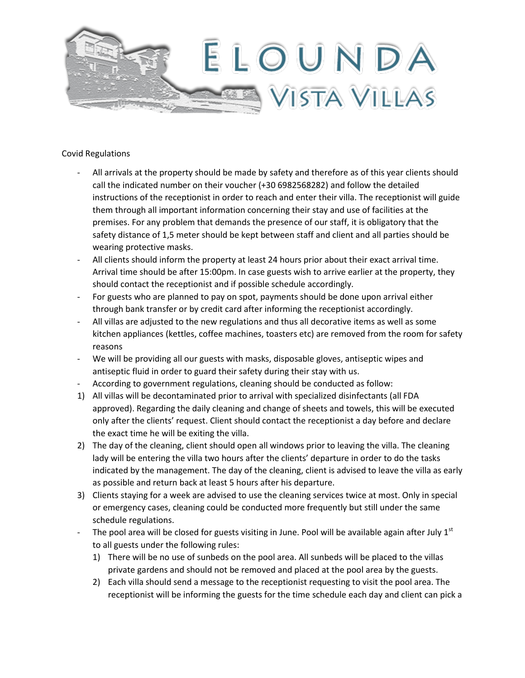

## Covid Regulations

- All arrivals at the property should be made by safety and therefore as of this year clients should call the indicated number on their voucher (+30 6982568282) and follow the detailed instructions of the receptionist in order to reach and enter their villa. The receptionist will guide them through all important information concerning their stay and use of facilities at the premises. For any problem that demands the presence of our staff, it is obligatory that the safety distance of 1,5 meter should be kept between staff and client and all parties should be wearing protective masks.
- All clients should inform the property at least 24 hours prior about their exact arrival time. Arrival time should be after 15:00pm. In case guests wish to arrive earlier at the property, they should contact the receptionist and if possible schedule accordingly.
- For guests who are planned to pay on spot, payments should be done upon arrival either through bank transfer or by credit card after informing the receptionist accordingly.
- All villas are adjusted to the new regulations and thus all decorative items as well as some kitchen appliances (kettles, coffee machines, toasters etc) are removed from the room for safety reasons
- We will be providing all our guests with masks, disposable gloves, antiseptic wipes and antiseptic fluid in order to guard their safety during their stay with us.
- According to government regulations, cleaning should be conducted as follow:
- 1) All villas will be decontaminated prior to arrival with specialized disinfectants (all FDA approved). Regarding the daily cleaning and change of sheets and towels, this will be executed only after the clients' request. Client should contact the receptionist a day before and declare the exact time he will be exiting the villa.
- 2) The day of the cleaning, client should open all windows prior to leaving the villa. The cleaning lady will be entering the villa two hours after the clients' departure in order to do the tasks indicated by the management. The day of the cleaning, client is advised to leave the villa as early as possible and return back at least 5 hours after his departure.
- 3) Clients staying for a week are advised to use the cleaning services twice at most. Only in special or emergency cases, cleaning could be conducted more frequently but still under the same schedule regulations.
- The pool area will be closed for guests visiting in June. Pool will be available again after July  $1<sup>st</sup>$ to all guests under the following rules:
	- 1) There will be no use of sunbeds on the pool area. All sunbeds will be placed to the villas private gardens and should not be removed and placed at the pool area by the guests.
	- 2) Each villa should send a message to the receptionist requesting to visit the pool area. The receptionist will be informing the guests for the time schedule each day and client can pick a